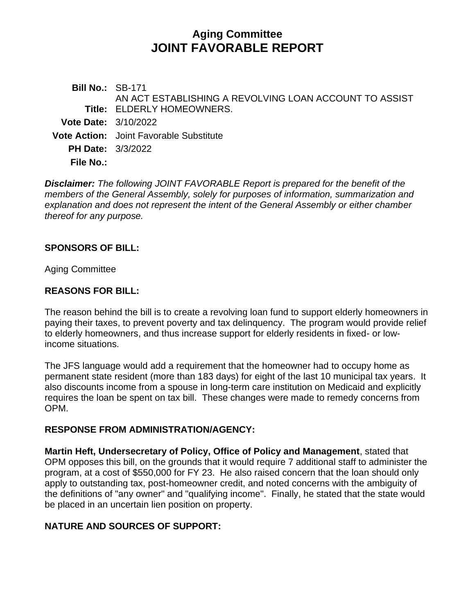# **Aging Committee JOINT FAVORABLE REPORT**

**Bill No.:** SB-171 **Title:** ELDERLY HOMEOWNERS. AN ACT ESTABLISHING A REVOLVING LOAN ACCOUNT TO ASSIST **Vote Date:** 3/10/2022 **Vote Action:** Joint Favorable Substitute **PH Date:** 3/3/2022 **File No.:**

*Disclaimer: The following JOINT FAVORABLE Report is prepared for the benefit of the members of the General Assembly, solely for purposes of information, summarization and explanation and does not represent the intent of the General Assembly or either chamber thereof for any purpose.*

#### **SPONSORS OF BILL:**

Aging Committee

#### **REASONS FOR BILL:**

The reason behind the bill is to create a revolving loan fund to support elderly homeowners in paying their taxes, to prevent poverty and tax delinquency. The program would provide relief to elderly homeowners, and thus increase support for elderly residents in fixed- or lowincome situations.

The JFS language would add a requirement that the homeowner had to occupy home as permanent state resident (more than 183 days) for eight of the last 10 municipal tax years. It also discounts income from a spouse in long-term care institution on Medicaid and explicitly requires the loan be spent on tax bill. These changes were made to remedy concerns from OPM.

#### **RESPONSE FROM ADMINISTRATION/AGENCY:**

**Martin Heft, Undersecretary of Policy, Office of Policy and Management**, stated that OPM opposes this bill, on the grounds that it would require 7 additional staff to administer the program, at a cost of \$550,000 for FY 23. He also raised concern that the loan should only apply to outstanding tax, post-homeowner credit, and noted concerns with the ambiguity of the definitions of "any owner" and "qualifying income". Finally, he stated that the state would be placed in an uncertain lien position on property.

## **NATURE AND SOURCES OF SUPPORT:**